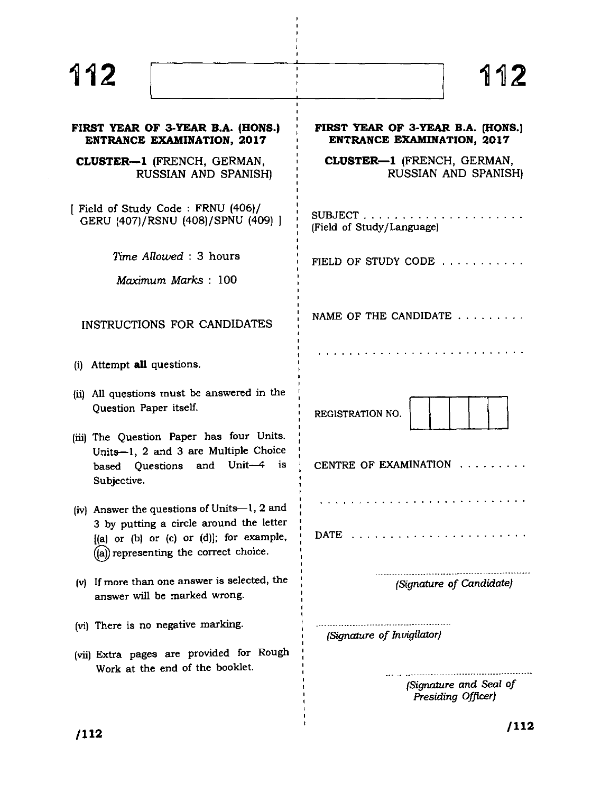| FIRST YEAR OF 3-YEAR B.A. (HONS.)<br><b>ENTRANCE EXAMINATION, 2017</b>                                                                                                               | FIRST YEAR OF 3-YEAR B.A. (HONS.)<br><b>ENTRANCE EXAMINATION, 2017</b>                                                                                                                                                        |  |
|--------------------------------------------------------------------------------------------------------------------------------------------------------------------------------------|-------------------------------------------------------------------------------------------------------------------------------------------------------------------------------------------------------------------------------|--|
| CLUSTER-1 (FRENCH, GERMAN,<br>RUSSIAN AND SPANISH)                                                                                                                                   | CLUSTER-1 (FRENCH, GERMAN,<br>RUSSIAN AND SPANISH)                                                                                                                                                                            |  |
| [ Field of Study Code: FRNU (406)/<br>GERU (407)/RSNU (408)/SPNU (409) ]                                                                                                             | $SUBJECT$<br>(Field of Study/Language)                                                                                                                                                                                        |  |
| Time Allowed: 3 hours<br>Maximum Marks: 100                                                                                                                                          | FIELD OF STUDY CODE                                                                                                                                                                                                           |  |
| INSTRUCTIONS FOR CANDIDATES                                                                                                                                                          | NAME OF THE CANDIDATE                                                                                                                                                                                                         |  |
| (i) Attempt all questions.                                                                                                                                                           | . The contract of the contract of the contract of the contract of the contract of the contract of the contract of the contract of the contract of the contract of the contract of the contract of the contract of the contrac |  |
| (ii) All questions must be answered in the<br>Question Paper itself.                                                                                                                 | REGISTRATION NO.                                                                                                                                                                                                              |  |
| (iii) The Question Paper has four Units.<br>Units-1, 2 and 3 are Multiple Choice<br>based Questions and Unit-4 is<br>Subjective.                                                     | CENTRE OF EXAMINATION                                                                                                                                                                                                         |  |
| (iv) Answer the questions of Units-1, 2 and<br>3 by putting a circle around the letter<br>$[(a)$ or $(b)$ or $(c)$ or $(d)]$ ; for example,<br>((a) representing the correct choice. | فالمتمام والمتمام والمتمام المتمام والمتمام المتمالك لأنها والمنا                                                                                                                                                             |  |
| (v) If more than one answer is selected, the<br>answer will be marked wrong.                                                                                                         | (Signature of Candidate)                                                                                                                                                                                                      |  |
| (vi) There is no negative marking.<br>(vii) Extra pages are provided for Rough<br>Work at the end of the booklet.                                                                    | (Signature of Invigilator)                                                                                                                                                                                                    |  |
|                                                                                                                                                                                      | (Signature and Seal of<br>Presiding Officer)                                                                                                                                                                                  |  |
|                                                                                                                                                                                      | /110                                                                                                                                                                                                                          |  |

 $\frac{1}{2}$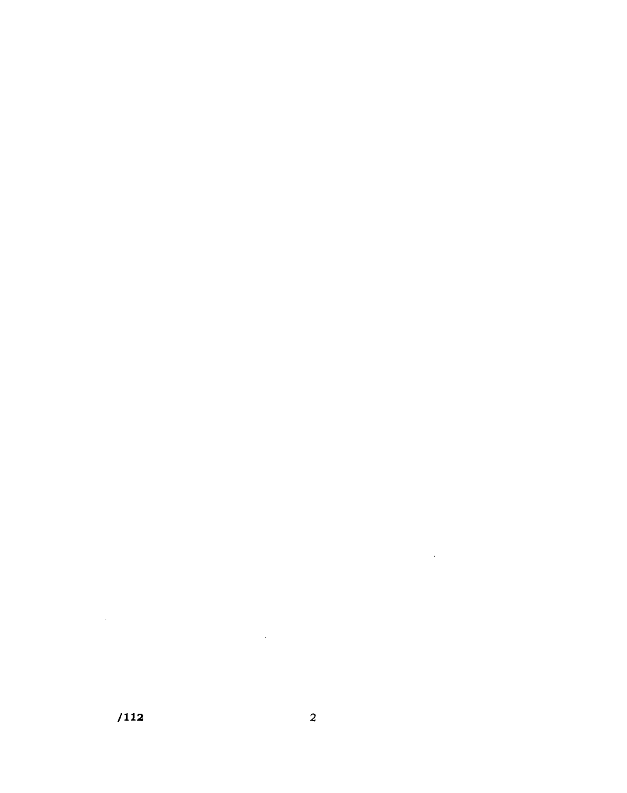# $/112$

 $\mathcal{L}^{\text{max}}_{\text{max}}$ 

 $\overline{a}$ 

 $\label{eq:2.1} \frac{1}{\sqrt{2}}\int_{0}^{\infty} \frac{1}{\sqrt{2\pi}}\left(\frac{1}{\sqrt{2}}\right)^{2} \frac{1}{\sqrt{2}}\left(\frac{1}{\sqrt{2}}\right)^{2} \frac{1}{\sqrt{2}}\left(\frac{1}{\sqrt{2}}\right)^{2} \frac{1}{\sqrt{2}}\left(\frac{1}{\sqrt{2}}\right)^{2} \frac{1}{\sqrt{2}}\left(\frac{1}{\sqrt{2}}\right)^{2} \frac{1}{\sqrt{2}}\left(\frac{1}{\sqrt{2}}\right)^{2} \frac{1}{\sqrt{2}}\left(\frac{1}{\sqrt{2$ 

 $\mathcal{L}^{\text{max}}_{\text{max}}$  , where  $\mathcal{L}^{\text{max}}_{\text{max}}$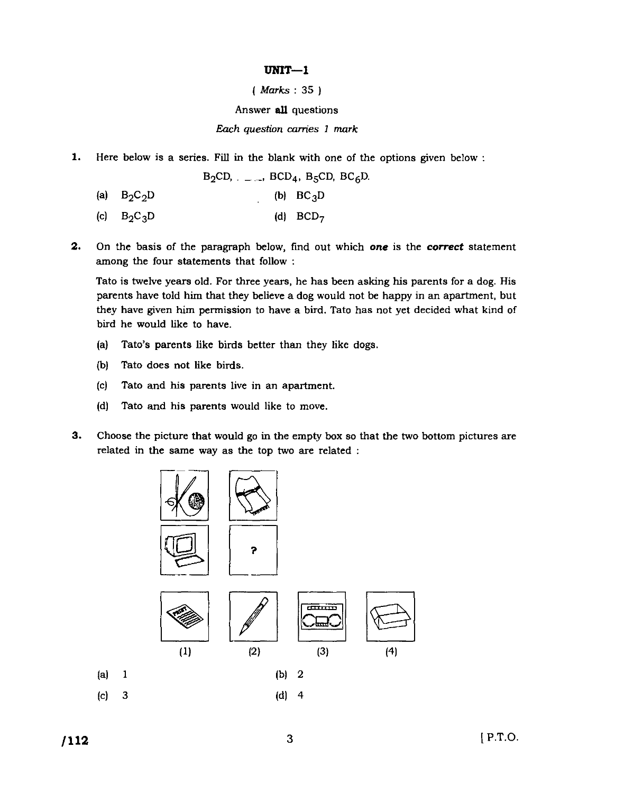### **UNIT-1**

### ( Marks : 35 )

### Answer **all** questions

#### Each question carries 1 mark

**1.** Here below is a series. Fill in the blank with one of the options given below :

 $B_2CD$ ,  $\ldots$ , BCD<sub>4</sub>, B<sub>5</sub>CD, BC<sub>6</sub>D.

- (b)  $BC_3D$  $B_2C_2D$  $(a)$
- (d)  $BCD<sub>7</sub>$  $B_2C_3D$  $(c)$
- **2.** On the basis of the paragraph below, fmd out which *one* is the *correct* statement among the four statements that follow :

Tato is twelve years old. For three years, he has been asking his parents for a dog. His parents have told him that they believe a dog would not be happy in an apartment, but they have given him permission to have a bird. Tato has not yet decided what kind of bird he would like to have.

- (a) Tato's parents like birds better than they like dogs.
- (b) Tato does not like birds.
- (c) Tato and his parents live in an apartment.
- (d) Tato and his parents would like to move.
- **3.** Choose the picture that would go in the empty box so that the two bottom pictures are related in the same way as the top two are related :

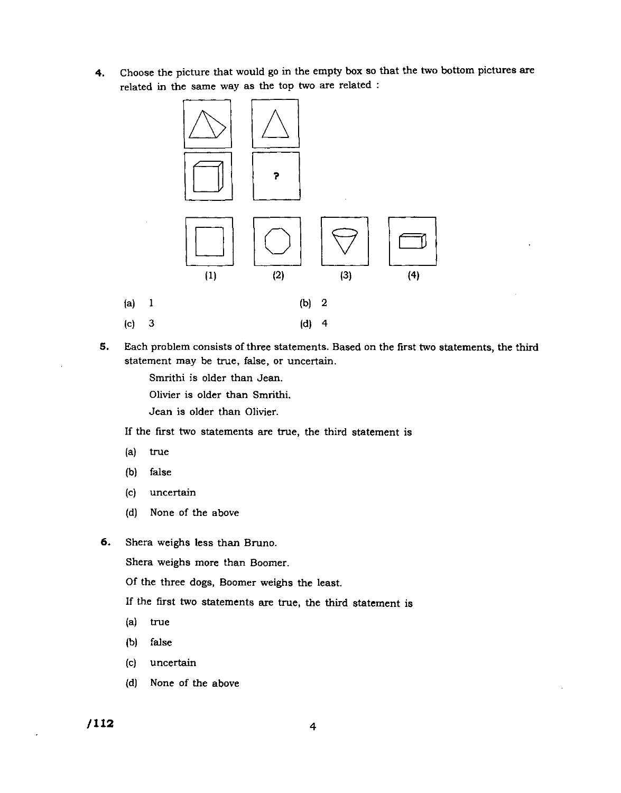4. Choose the picture that would go in the empty box so that the two bottom pictures are related in the same way as the top two are related :



- (a) 1 (b) 2
- (c) 3 (d) 4
- 5. Each problem consists of three statements. Based on the first two statements, the third statement may be true, false, or uncertain.

Smrithi is older than Jean.

Olivier is older than Smrithi.

Jean is older than Olivier.

If the first two statements are true, the third statement is

- (a) true
- (b) false
- (c) uncertain
- (d) None of the above
- 6. Shera weighs less than Bruno.

Shera weighs more than Boomer.

Of the three dogs, Boomer weighs the least.

If the first two statements are true, the third statement is

- (a) true
- (b) false
- (c) uncertain
- (d) None of the above

**/112** 4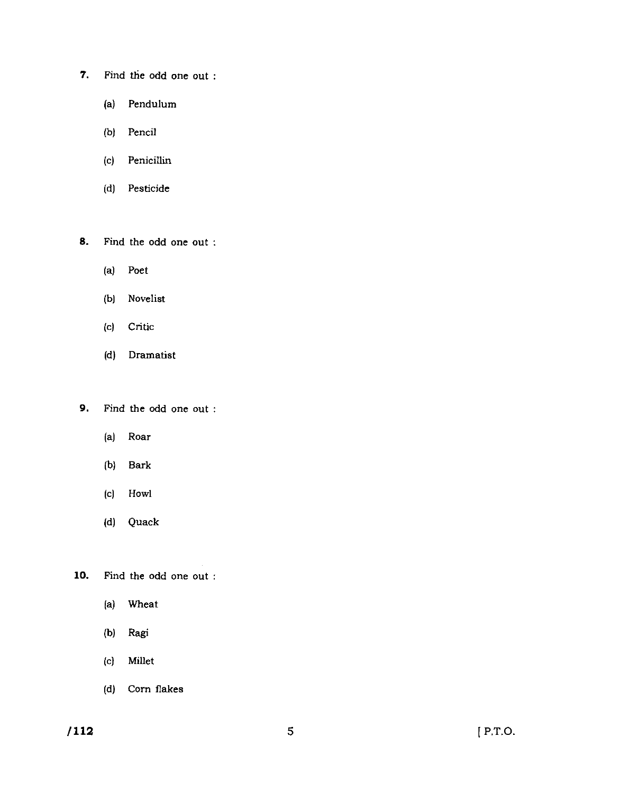- 7. Find the odd one out :
	- (a) Pendulum
	- (b) Pencil
	- (c) Penicillin
	- (d) Pesticide
- 8. Find the odd one out :
	- (a) Poet
	- (b) Novelist
	- (c) Critic
	- (d) Dramatist
- 9. Find tbe odd one out :
	- (a) Roar
	- (b) Bark
	- (c) Howl
	- (d) Quack
- 10. Find the odd one out :
	- (a) Wheat
	- (b) Ragi
	- (c) Millet
	- (d) Com flakes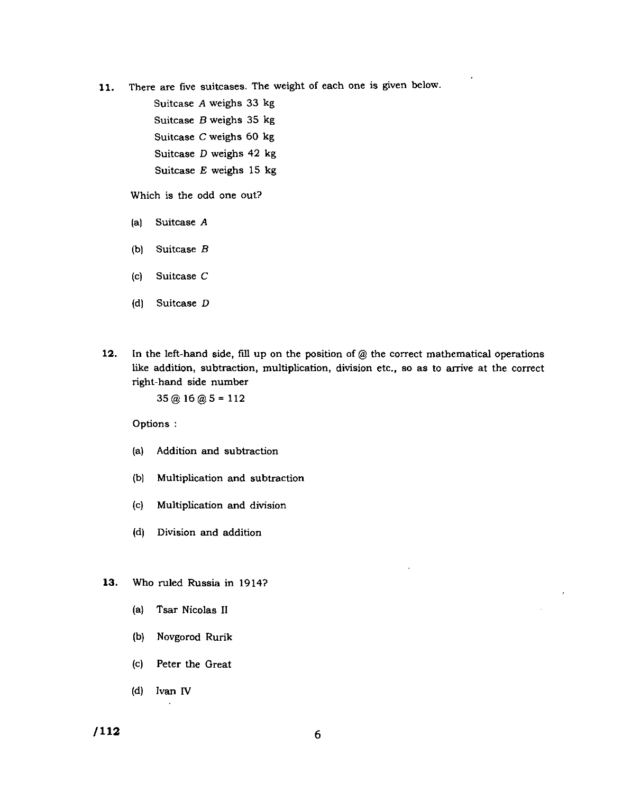- 11. There are five suitcases. The weight of each one is given below.
	- Suitcase *A* weighs 33 kg Suitcase *B* weighs 35 kg Suitcase C weighs 60 kg Suitcase D weighs 42 kg Suitcase *E* weighs 15 kg

Which is the odd one out?

- (a) Suitcase *A*
- (b) Suitcase *B*
- (c) Suitcase C
- (d) Suitcase *D*
- 12. In the left-hand side, fill up on the position of  $@$  the correct mathematical operations like addition, subtraction, multiplication, division etc., so as to arrive at the correct right-hand side number

 $35@16@5=112$ 

Options :

- (a) Addition and subtraction
- (b) Multiplication and subtraction
- (c) Multiplication and division
- (d) Division and addition
- 13. Who ruled Russia in 1914?
	- (a) Tsar Nicolas II
	- (b) Novgorod Rurik
	- (c) Peter the Great
	- (d) Ivan IV

**/112** 6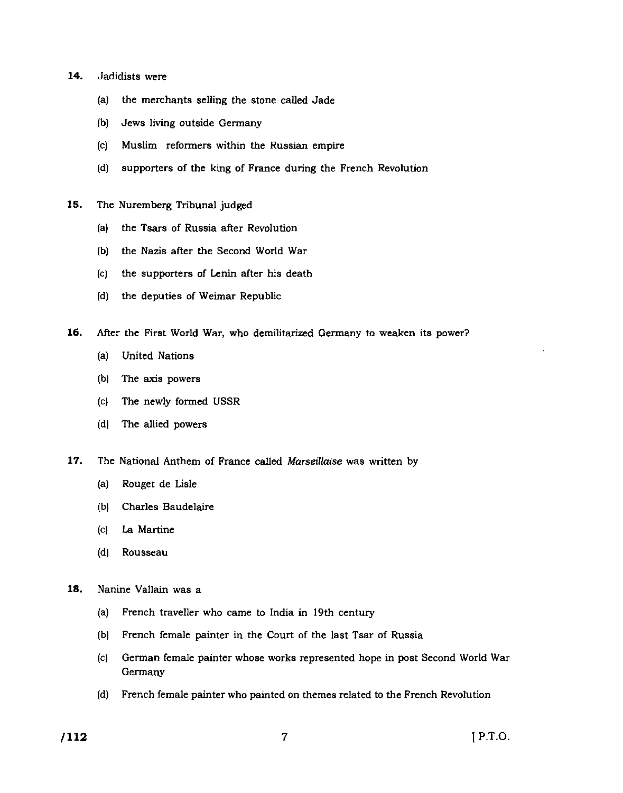### **14.** Jadidists were

- (a) the merchants selling the stone called Jade
- (b) Jews living outside Germany
- (c) Muslim reformers within the Russian empire
- (d) supporters of the king of France during the French Revolution
- 15. The Nuremberg Tribunal judged
	- (a) the Tsars of Russia after Revolution
	- (b) the Nazis after the Second World War
	- (c) the supporters of Lenin after his death
	- (d) the deputies of Weimar Republic
- 16. After the First World War, who demilitarized Germany to weaken its power?
	- (a) United Nations
	- (b) The axis powers
	- (c) The newly formed USSR
	- (d) The allied powers
- **17.** The National Anthem of France called Marseillaise was written by
	- (a) Rouget de Lisle
	- (b) Charles Baudelaire
	- (c) La Martine
	- (d) Rousseau
- 18. Nanine Vallain was a
	- (a) French traveller who came to India in 19th century
	- (b) French female painter in the Court of the last Tsar of Russia
	- (c) German female painter whose works represented hope in post Second World War Germany
	- (d) French female painter who painted on themes related to the French Revolution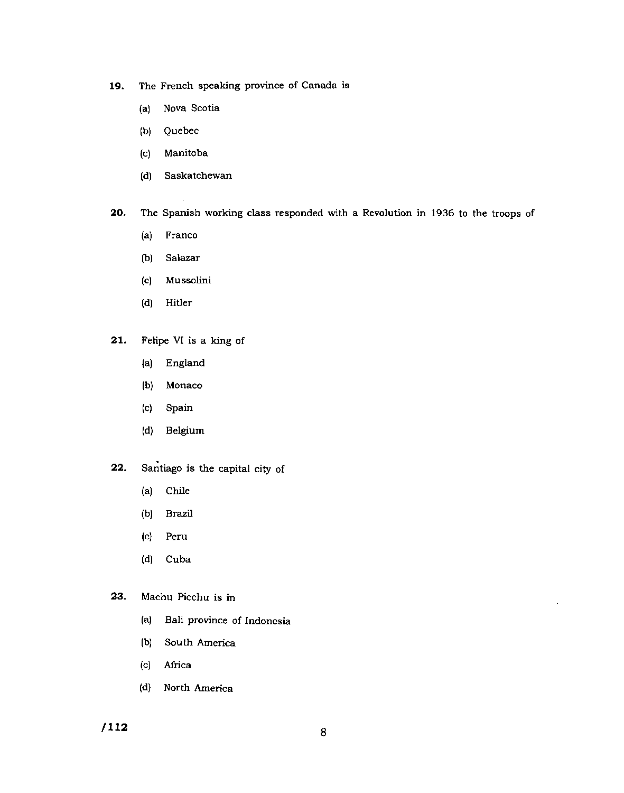- **19.** The French speaking province of Canada is
	- (a) Nova Scotia
	- (b) Quebec
	- (c) Manitoba
	- (d) Saskatchewan
- **20.** The Spanish working class responded with a Revolution in 1936 to the troops of
	- (a) Franco
	- (b) Salazar
	- (c) Mussolini
	- (d) Hitler
- 21. Felipe VI is a king of
	- (a) England
	- (b) Monaco
	- (c) Spain
	- (d) Belgium
- 22. Santiago is the capital city of
	- (a) Chile
	- (b) Brazil
	- (c) Peru
	- (d) Cuba
- 23. Machu Picchu is in
	- (a) Bali province of Indonesia
	- (b) South America
	- (c) Africa
	- (d) North America

**/112**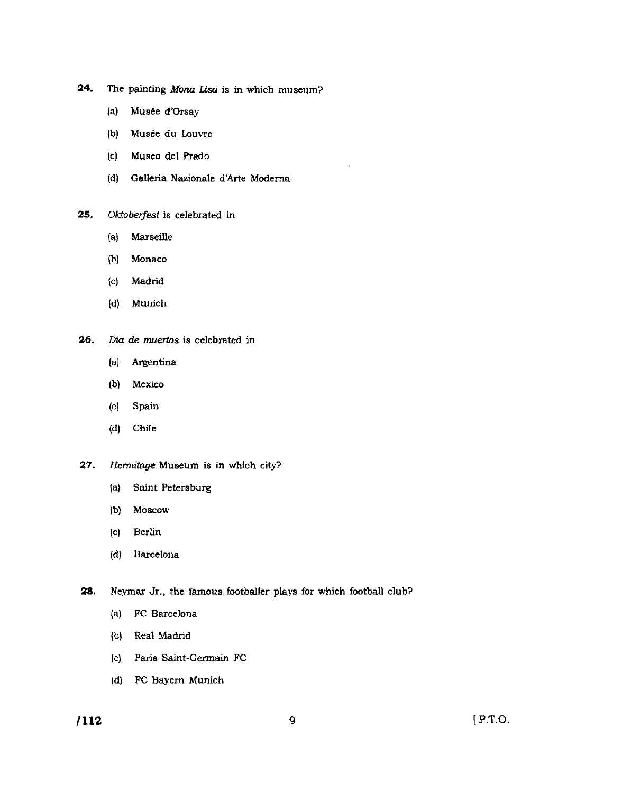- 24. The painting *Mona* Lisa is in which museum?
	- (a) Musée d'Orsay
	- (b) Musée du Louvre
	- (c) Museo del Prado
	- (d) Galleria Nazionale d'Arte Modema
- 25. *Oktoberfest* is celebrated in
	- (a) Marseille
	- (b) Monaco
	- (c) Madrid
	- (d) Munich
- 26. *Dia de muertos* is celebrated in
	- (a) Argentina
	- (b) Mexico
	- (c) Spain
	- (d) Chile
- 27. *Hermitage* Museum is in which city?
	- (a) Saint Petersburg
	- (b) Moscow
	- (c) Berlin
	- (d) Barcelona
- 28. Neymar Jr., the famous footballer plays for which football club?
	- (a) FC Barcelona
	- (b) Real Madrid
	- (c) Paris Saint-Germain FC
	- (d) FC Bayem Munich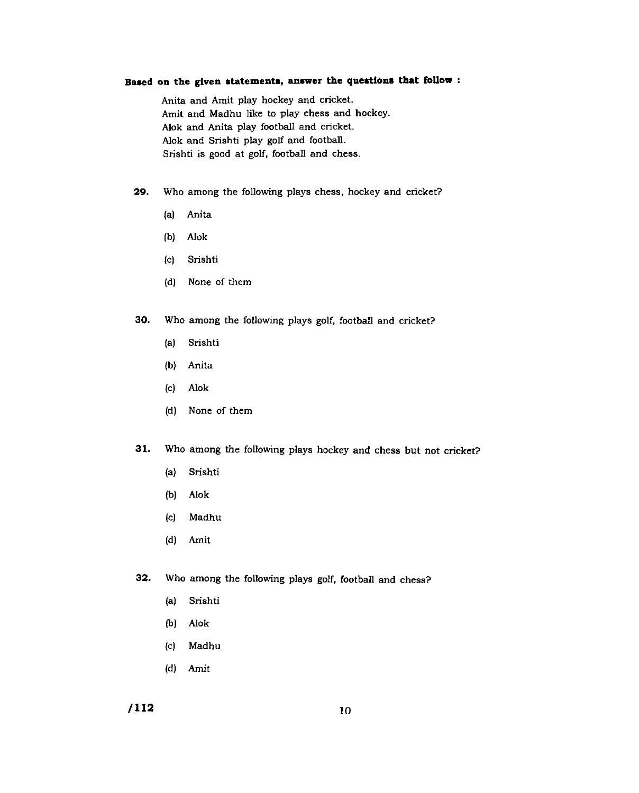# Based on the given statements, answer the questions that follow :

Anita and Amit play hockey and cricket. Amit and Madhu like to play chess and hockey. Alok and Anita play football and cricket. Alok and Srishti play golf and football. Srishti is good at golf, football and chess.

- **29.** Who among the following plays chess, hockey and cricket?
	- (a) Anita
	- (b) Alok
	- (c) Srishti
	- (d) None of them
- 30. Who among the following plays golf, football and cricket?
	- (a) Srishti
	- (b) Anita
	- (c) Alok
	- (d) None of them
- **31.** Who among the following plays hockey and chess but not cricket?
	- (a) Srishti
	- (b) Alok
	- (c) Madhu
	- (d) Amit

32. Who among the following plays golf, football and chess?

- (a) Srishti
- (b) Alok
- (c) Madhu
- (d) Amit

## **/112** 10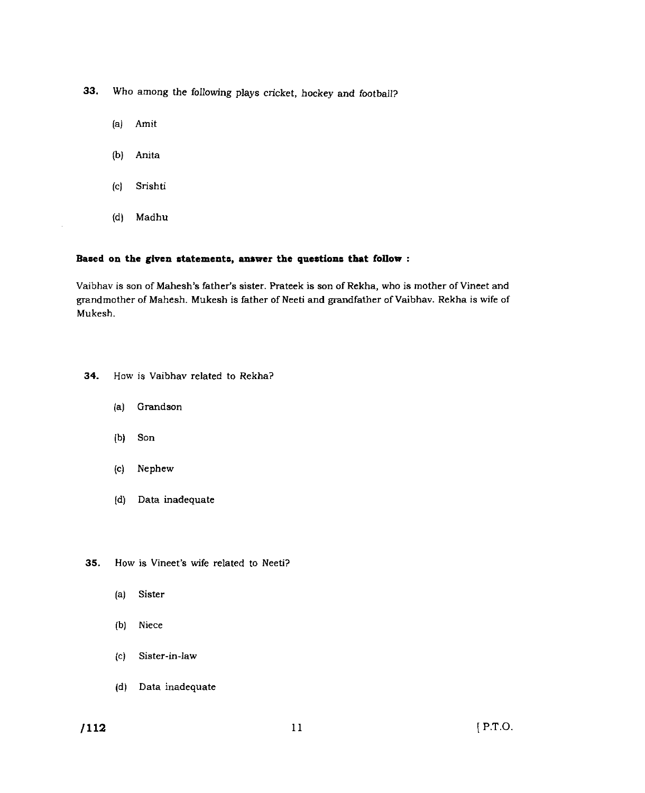33. Who among the following plays cricket, hockey and football?

- (a) Amit
- (b) Anita
- (c) Srishti
- (d) Madhu

### Based on the given statements, answer the questions that follow :

Vaibhav is son of Mahesh's father's sister. Prateek is son of Rekha, who is mother of Vineet and grandmother of Mahesh. Mukesh is father of Neeti and grandfather of Vaibhav. Rekha is wife of Mukesh.

34. How is Vaibhav related to Rekha?

- (a) Grandson
- (b) Son
- (c) Nephew
- (d) Data inadequate
- 35. How is Vineet's wife related to Neeti?
	- (a) Sister
	- (b) Niece
	- (c) Sister-in-law
	- (d) Data inadequate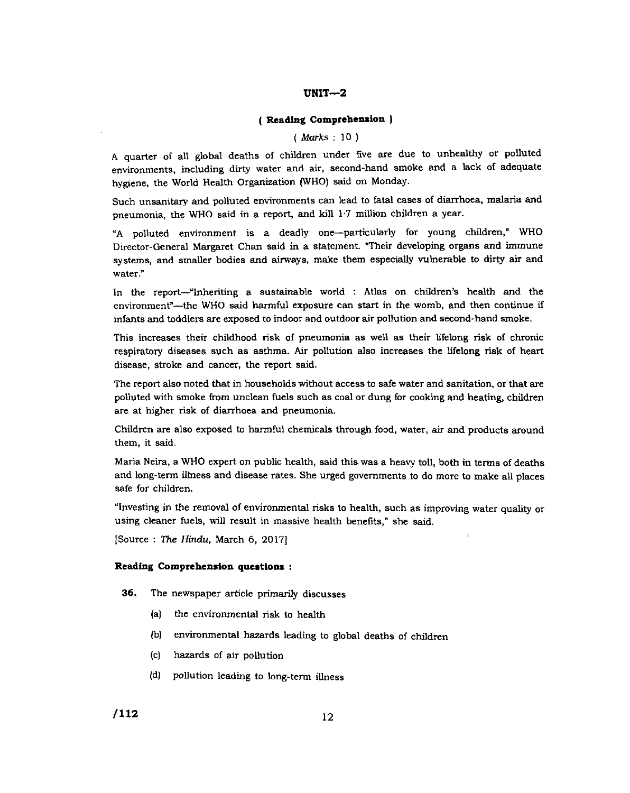### **UNIT-2**

#### ( **ReacUng Comprehenaion l**

### ( Marks : 10 )

A quarter of all global deaths of children under five are due to unhealthy or polluted environments, including dirty water and air, second-hand smoke and a lack of adequate hygiene, the World Health Organization (WHO) said on Monday.

Such unsanitary and polluted environments can lead to fatal cases of diarrhoea, malaria and pneumonia, the WHO said in a report, and kill 1·7 million children a year.

"A polluted environment is a deadly one--particularly for young children," WHO Director-General Margaret Chan said in a statement. "Their developing organs and immune systems, and smaller bodies and airways, make them especially vulnerable to dirty air and **water."** 

In the report-"lnheriting a sustainable world : Atlas on children's health and the environment"-the WHO said harmful exposure can start in the womb, and then continue if infants and toddlers are exposed to indoor and outdoor air pollution and second-hand smoke.

This increases their childhood risk of pneumonia as well as their lifelong risk of chronic respiratory diseases such as asthma. Air pollution also increases the lifelong risk of heart disease, stroke and cancer, the report said.

The report also noted that in households without access to safe water and sanitation, or that are polluted with smoke from unclean fuels such as coal or dung for cooking and heating, children are at higher risk of diarrhoea and pneumonia.

Children are also exposed to harmful chemicals through food, water, air and products around them, it said.

Maria Neira, a WHO expert on public health, said this was a heavy toll, both in terms of deaths and long-term illness and disease rates. She urged governments to do more to make all places safe for children.

"Investing in the removal of environmental risks to health, such as improving water quality or using cleaner fuels, will result in massive health benefits," she said.

[Source *:* The Hindu, March 6, 2017)

### **Reading Comprehenaion question.** :

- 36. The newspaper article primarily discusses
	- (a) the environmental risk to health
	- (b) environmental hazards leading to global deaths of children
	- (c) hazards of air pollution
	- (d) pollution leading to long-term illness

 $/112$  12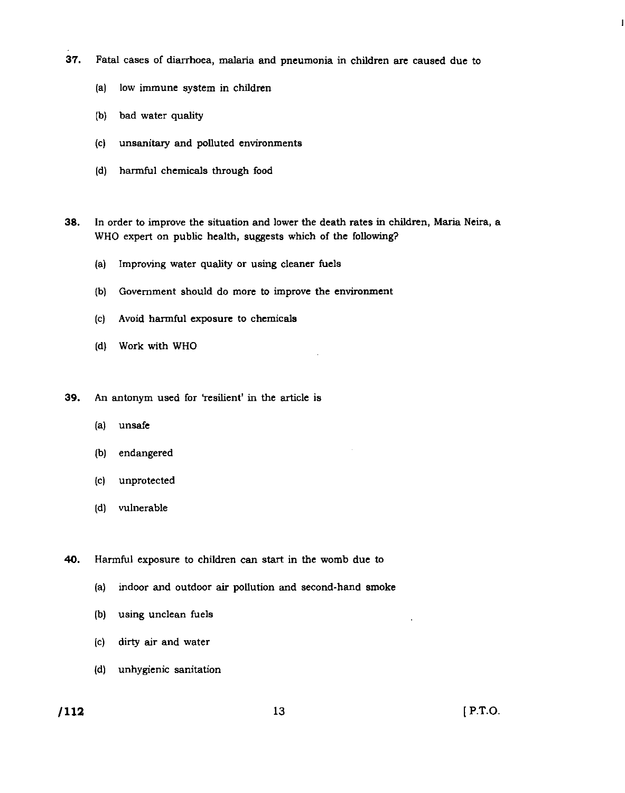- 37. Fatal cases of diarrhoea, malaria and pneumonia in children are caused due to
	- (a) low immune system in children
	- (b) bad water quality
	- (c) unsanitary and polluted environments
	- (d) harmful chemicals through food

38. In order to improve the situation and lower the death rates in children, Maria Neira, a WHO expert on public health, suggests which of the following?

- (a) Improving water quality or using cleaner fuels
- (b) Government should do more to improve the environment
- (c) Avoid harmful exposure to chemicals
- (d) Work with WHO
- 39. An antonym used for 'resilient' in the article is
	- (a) unsafe
	- (b) endangered
	- (c) unprotected
	- (d) vulnerable

40. Harmful exposure to children can start in the womb due to

- (a) indoor and outdoor air pollution and second-hand smoke
- (b) using unclean fuels
- (c) dirty air and water
- (d) unhygienic sanitation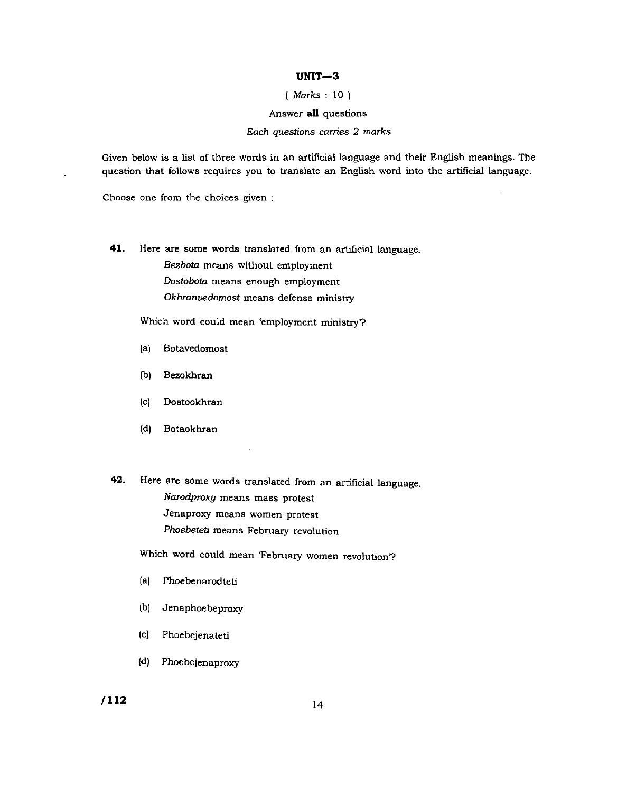#### **UNIT-3**

#### ( Marks : 10 )

#### Answer all questions

#### Each questions carries 2 marks

Given below is a list of three words in an artificial language and their English meanings. The question that follows requires you to translate an English word into the artificial language.

Choose one from the choices given :

**41.** Here are some words translated from an artificial language.

Bezbota means without employment Dostobota means enough employment Okhranvedomost means defense ministry

Which word could mean 'employment ministry'?

- (a) Botavedomost
- (b) Bezokhran
- (c) Dostookhran
- (d) Botaokhran
- 42. Here are some words translated from an artificial language. Narodproxy means mass protest Jenaproxy means women protest Phoebeteti means February revolution

 $\sim$ 

Which word could mean 'February women revolution'?

- (a) Phoebenarodteti
- (b) Jenaphoebeproxy
- (c) Phoebejenateti
- (d) Phoebejenaproxy

**/112**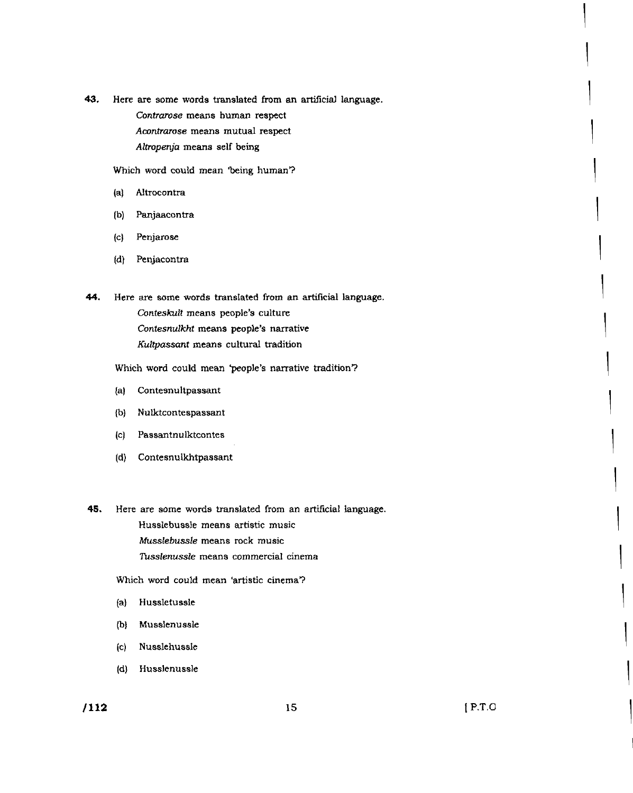**43.** Here are some words translated from an artificial language. Contrarose means human respect Acontrarose means mutual respect Altropenja means self being

Which word could mean 'being human'?

- (a) Altrocontra
- (b) Panjaacontra
- (c) Penjarose
- (d) Penjacontra
- **44.** Here are some words translated from an artificial language. Conteskult means people's culture Contesnulkht means people's narrative Kultpassant means cultural tradition

Which word could mean 'people's narrative tradition'?

- (a) Contesnultpassant
- (b) Nulktcontespassant
- (c) Passantnulktcontes
- (d) Contesnulkhtpassant
- **45.** Here are some words translated from an artificial language. Husslebussle means artistic music Musslebussle means rock music
	- Tusslenussle means commercial cinema

Which word could mean 'artistic cinema'?

- (a) Hussletussle
- (b) Musslenussle
- (c) Nusslehussle
- (d) Husslenussle

**1** 

**1** 

**1** 

**1** 

**1** 

**1** 

**1** 

**1** 

**1** 

**1**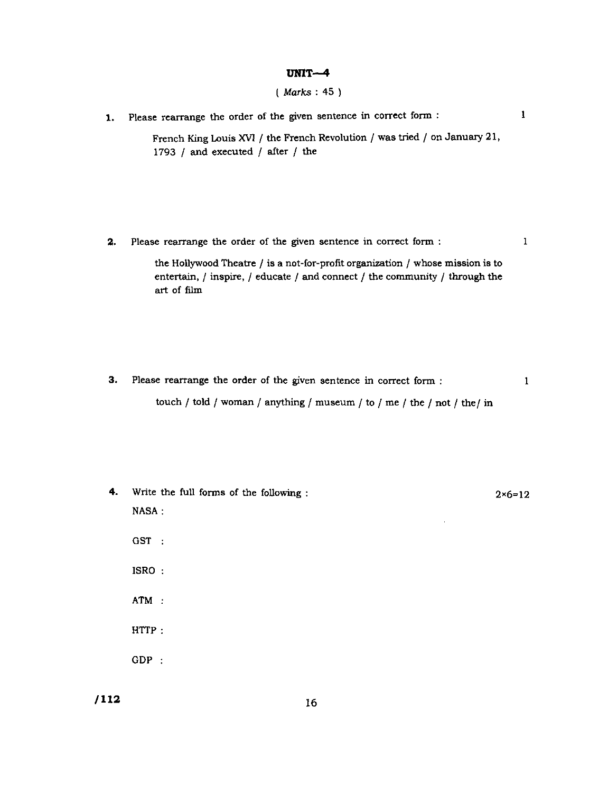# **UNIT--4**

# ( Marks : 45 )

| 1. | Please rearrange the order of the given sentence in correct form :                                                                                                           | 1            |
|----|------------------------------------------------------------------------------------------------------------------------------------------------------------------------------|--------------|
|    | French King Louis XVI / the French Revolution / was tried / on January 21,<br>1793 / and executed / after / the                                                              |              |
| 2. | Please rearrange the order of the given sentence in correct form :                                                                                                           | 1            |
|    | the Hollywood Theatre / is a not-for-profit organization / whose mission is to<br>entertain, / inspire, / educate / and connect / the community / through the<br>art of film |              |
| З. | Please rearrange the order of the given sentence in correct form :                                                                                                           | $\mathbf{1}$ |
|    | touch / told / woman / anything / museum / to / me / the / not / the/ in                                                                                                     |              |
| 4. | Write the full forms of the following :<br>NASA:                                                                                                                             | $2×6=12$     |

GST :

1SRO

ATM :

HTTP:

GDP :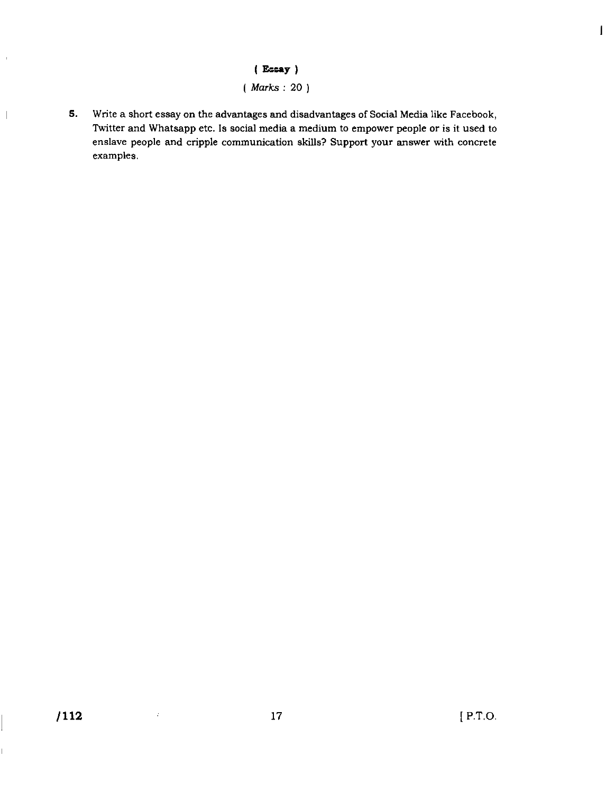## ( **E=ay)**

# ( Marks: 20 )

5. Write a short essay on the advantages and disadvantages of Social Media like Facebook, Twitter and Whatsapp etc. Is social media a medium to empower people or is it used to enslave people and cripple communication skills? Support your answer with concrete examples.

 $\bar{\bar{\bar{E}}}$ 

 $\overline{\phantom{a}}$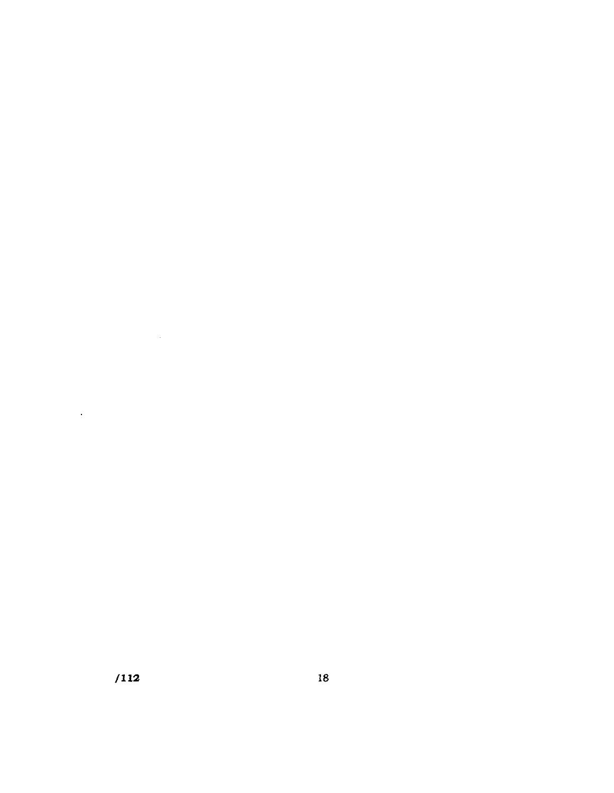$\mathcal{L}^{\text{max}}_{\text{max}}$  , where  $\mathcal{L}^{\text{max}}_{\text{max}}$ 

 $\mathcal{L}^{\text{max}}_{\text{max}}$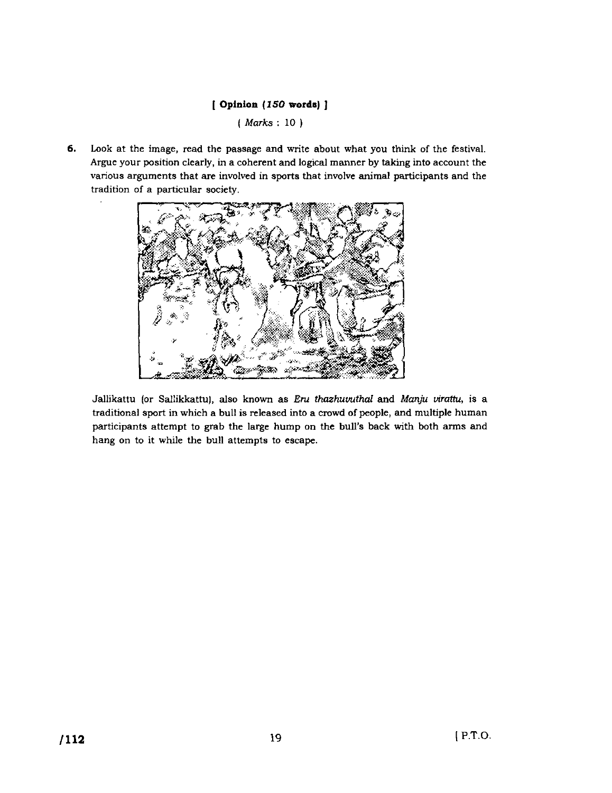## [ **Opinion ( 150 words)** )

(Marks: 10)

**6.** Look at the image, read the passage and write about what you think of the festival. Argue your position clearly, in a coherent and logical manner by taking into account the various arguments that are involved in sports that involve animal participants and the tradition of a particular society.



Jallikattu (or Sallikkattu), also known as Eru thazhuvuthal and Manju virattu, is a traditional sport in which a bull is released into a crowd of people, and multiple human participants attempt to grab the large hump on the hull's back with both arms and hang on to it while the bull attempts to escape.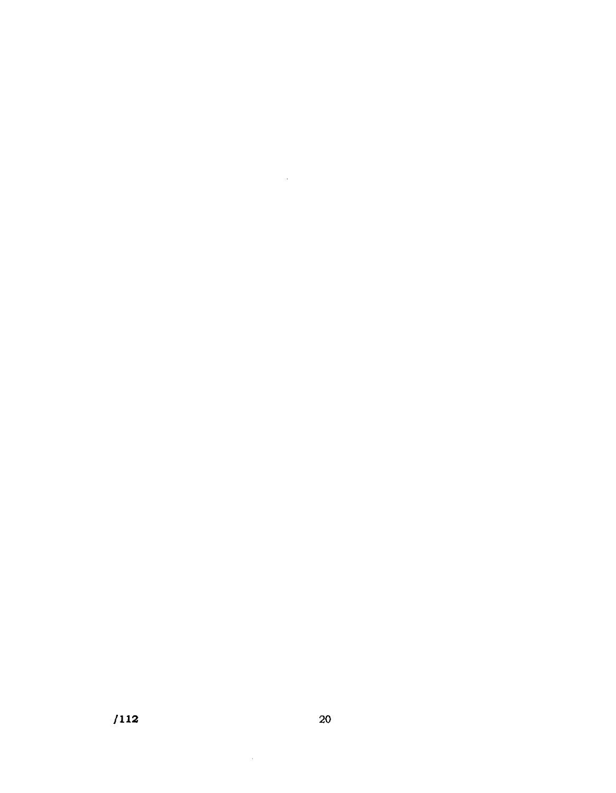$\sim 10$ 

 $\sim 10^{-11}$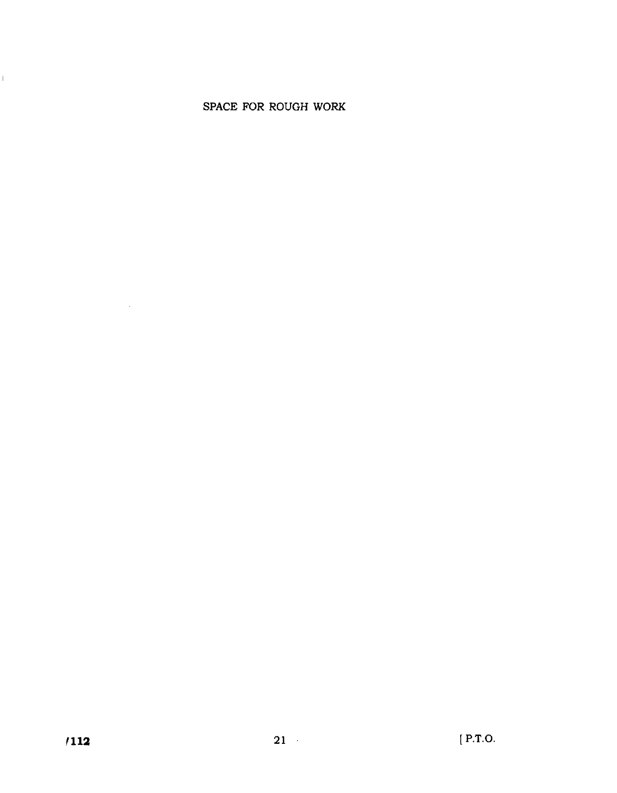$\sim 10^{-1}$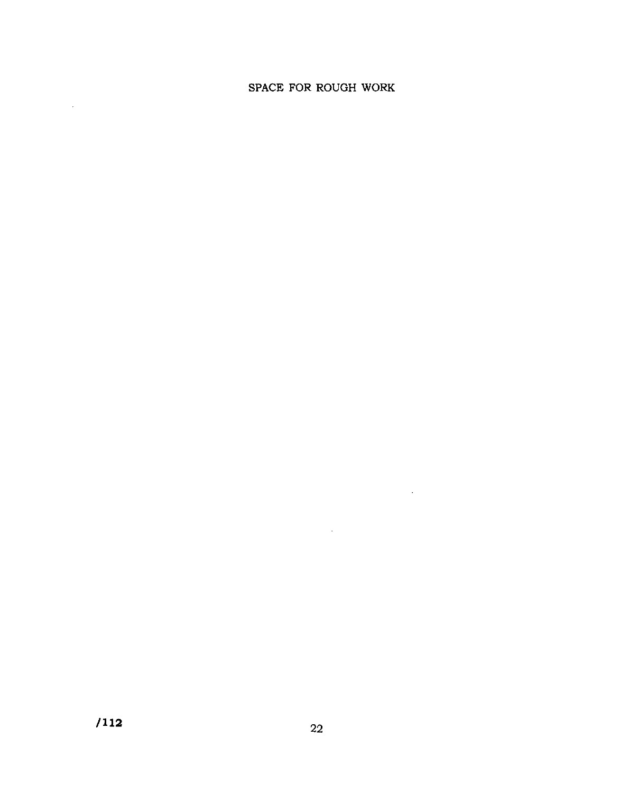$\sim 10^{11}$ 

 $\mathcal{L}^{\text{max}}_{\text{max}}$ 

 $\mathcal{L}^{\text{max}}_{\text{max}}$  and  $\mathcal{L}^{\text{max}}_{\text{max}}$